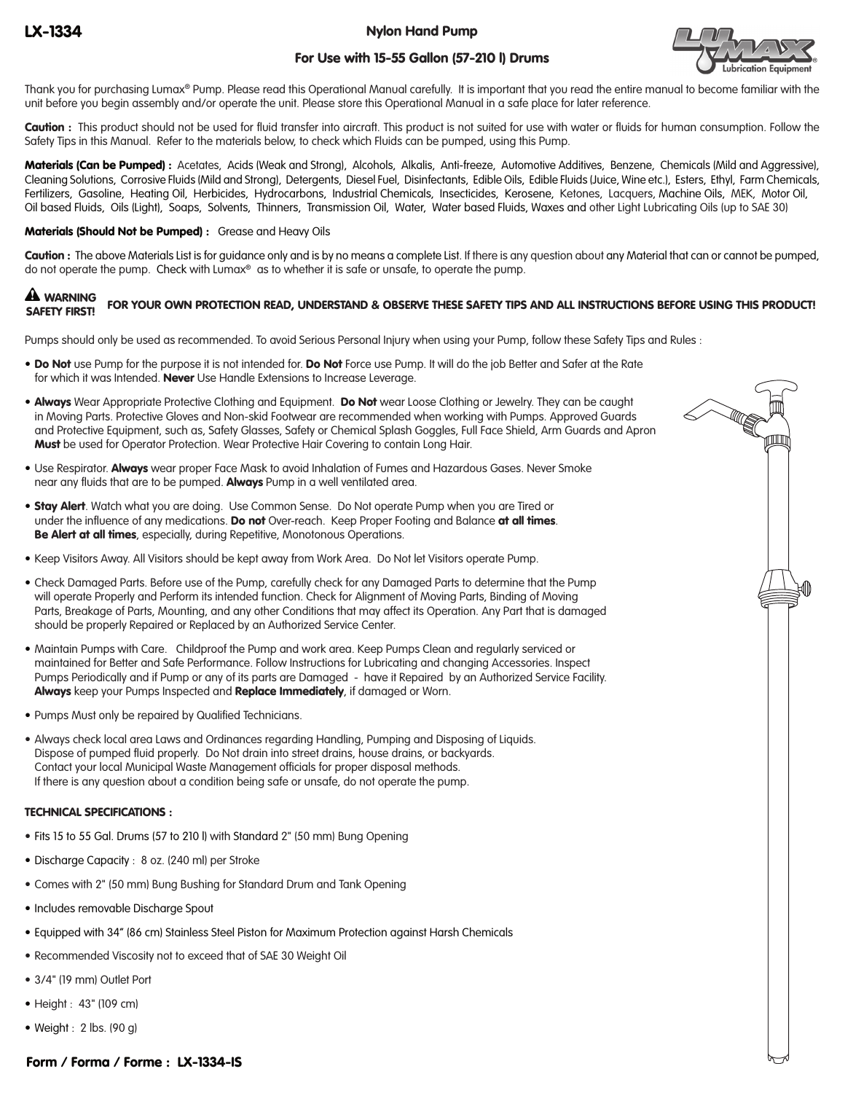

## For Use with 15-55 Gallon (57-210 l) Drums

Thank you for purchasing Lumax® Pump. Please read this Operational Manual carefully. It is important that you read the entire manual to become familiar with the unit before you begin assembly and/or operate the unit. Please store this Operational Manual in a safe place for later reference.

Caution: This product should not be used for fluid transfer into aircraft. This product is not suited for use with water or fluids for human consumption. Follow the Safety Tips in this Manual. Refer to the materials below, to check which Fluids can be pumped, using this Pump.

Materials (Can be Pumped) : Acetates, Acids (Weak and Strong), Alcohols, Alkalis, Anti-freeze, Automotive Additives, Benzene, Chemicals (Mild and Aggressive), Cleaning Solutions, Corrosive Fluids (Mild and Strong), Detergents, Diesel Fuel, Disinfectants, Edible Oils, Edible Fluids (Juice, Wine etc.), Esters, Ethyl, Farm Chemicals, Fertilizers, Gasoline, Heating Oil, Herbicides, Hydrocarbons, Industrial Chemicals, Insecticides, Kerosene, Ketones, Lacquers, Machine Oils, MEK, Motor Oil, Oil based Fluids, Oils (Light), Soaps, Solvents, Thinners, Transmission Oil, Water, Water based Fluids, Waxes and other Light Lubricating Oils (up to SAE 30)

### Materials (Should Not be Pumped) : Grease and Heavy Oils

Caution: The above Materials List is for guidance only and is by no means a complete List. If there is any question about any Material that can or cannot be pumped, do not operate the pump. Check with Lumax® as to whether it is safe or unsafe, to operate the pump.

### WARNING FOR YOUR OWN PROTECTION READ, UNDERSTAND & OBSERVE THESE SAFETY TIPS AND ALL INSTRUCTIONS BEFORE USING THIS PRODUCT! **A WARNING**

Pumps should only be used as recommended. To avoid Serious Personal Injury when using your Pump, follow these Safety Tips and Rules :

- Do Not use Pump for the purpose it is not intended for. Do Not Force use Pump. It will do the job Better and Safer at the Rate for which it was Intended. Never Use Handle Extensions to Increase Leverage.
- Always Wear Appropriate Protective Clothing and Equipment. Do Not wear Loose Clothing or Jewelry. They can be caught in Moving Parts. Protective Gloves and Non-skid Footwear are recommended when working with Pumps. Approved Guards and Protective Equipment, such as, Safety Glasses, Safety or Chemical Splash Goggles, Full Face Shield, Arm Guards and Apron Must be used for Operator Protection. Wear Protective Hair Covering to contain Long Hair.
- Use Respirator. Always wear proper Face Mask to avoid Inhalation of Fumes and Hazardous Gases. Never Smoke near any fluids that are to be pumped. Always Pump in a well ventilated area.
- **Stay Alert**. Watch what you are doing. Use Common Sense. Do Not operate Pump when you are Tired or under the influence of any medications. Do not Over-reach. Keep Proper Footing and Balance at all times. Be Alert at all times, especially, during Repetitive, Monotonous Operations.
- Keep Visitors Away. All Visitors should be kept away from Work Area. Do Not let Visitors operate Pump.
- Check Damaged Parts. Before use of the Pump, carefully check for any Damaged Parts to determine that the Pump will operate Properly and Perform its intended function. Check for Alignment of Moving Parts, Binding of Moving Parts, Breakage of Parts, Mounting, and any other Conditions that may affect its Operation. Any Part that is damaged should be properly Repaired or Replaced by an Authorized Service Center.
- Maintain Pumps with Care. Childproof the Pump and work area. Keep Pumps Clean and regularly serviced or maintained for Better and Safe Performance. Follow Instructions for Lubricating and changing Accessories. Inspect Pumps Periodically and if Pump or any of its parts are Damaged - have it Repaired by an Authorized Service Facility. Always keep your Pumps Inspected and Replace Immediately, if damaged or Worn.
- Pumps Must only be repaired by Qualified Technicians.
- Always check local area Laws and Ordinances regarding Handling, Pumping and Disposing of Liquids. Dispose of pumped fluid properly. Do Not drain into street drains, house drains, or backyards. Contact your local Municipal Waste Management officials for proper disposal methods. If there is any question about a condition being safe or unsafe, do not operate the pump.

### TECHNICAL SPECIFICATIONS :

- Fits 15 to 55 Gal. Drums (57 to 210 l) with Standard 2" (50 mm) Bung Opening
- Discharge Capacity : 8 oz. (240 ml) per Stroke
- Comes with 2" (50 mm) Bung Bushing for Standard Drum and Tank Opening
- Includes removable Discharge Spout
- Equipped with 34" (86 cm) Stainless Steel Piston for Maximum Protection against Harsh Chemicals
- Recommended Viscosity not to exceed that of SAE 30 Weight Oil
- 3/4" (19 mm) Outlet Port
- Height : 43" (109 cm)
- Weight:  $2$  lbs. (90 g)

# Form / Forma / Forme : LX-1334-IS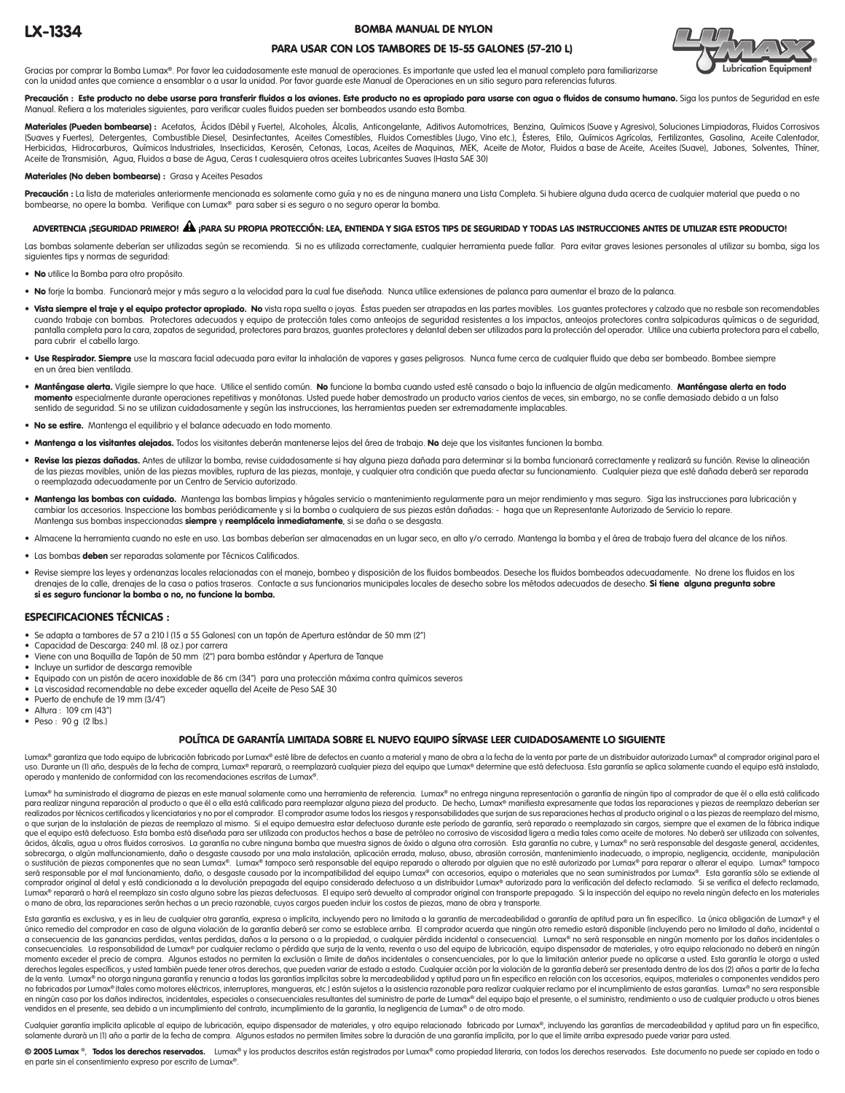### BOMBA MANUAL DE NYLON



### PARA USAR CON LOS TAMBORES DE 15-55 GALONES (57-210 L)

Gracias por comprar la Bomba Lumax®. Por favor lea cuidadosamente este manual de operaciones. Es importante que usted lea el manual completo para familiarizarse con la unidad antes que comience a ensamblar o a usar la unidad. Por favor guarde este Manual de Operaciones en un sitio seguro para referencias futuras.

Precaución : Este producto no debe usarse para transferir fluidos a los aviones. Este producto no es apropiado para usarse con agua o fluidos de consumo humano. Siga los puntos de Seguridad en este Manual. Refiera a los materiales siguientes, para verificar cuales fluidos pueden ser bombeados usando esta Bomba.

Materiales (Pueden bombearse) : Acetatos, Ácidos (Débil y Fuerte), Alcoholes, Álcalis, Anticongelante, Aditivos Automotrices, Benzina, Químicos (Suave y Agresivo), Soluciones Limpiadoras, Fluidos Corrosivos (Suaves y Fuertes), Detergentes, Combustible Diesel, Desinfectantes, Aceites Comestibles, Fluidos Comestibles (Jugo, Vino etc.), Ésteres, Etilo, Químicos Agrícolas, Fertilizantes, Gasolina, Aceite Calentador, Herbicidas, Hidrocarburos, Químicos Industriales, Insecticidas, Kerosén, Cetonas, Lacas, Aceites de Maquinas, MEK, Aceite de Motor, Fluidos a base de Aceite, Aceites (Suave), Jabones, Solventes, Thíner, Aceite de Transmisión, Agua, Fluidos a base de Agua, Ceras t cualesquiera otros aceites Lubricantes Suaves (Hasta SAE 30)

#### Materiales (No deben bombearse) : Grasa y Aceites Pesados

Precaución : La lista de materiales anteriormente mencionada es solamente como quía y no es de ninguna manera una Lista Completa. Si hubiere alguna duda acerca de cualquier material que pueda o no bombearse, no opere la bomba. Verifique con Lumax® para saber si es seguro o no seguro operar la bomba.

## ADVERTENCIA ¡SEGURIDAD PRIMERO! À ¡PARA SU PROPIA PROTECCIÓN: LEA, ENTIENDA Y SIGA ESTOS TIPS DE SEGURIDAD Y TODAS LAS INSTRUCCIONES ANTES DE UTILIZAR ESTE PRODUCTO!

Las bombas solamente deberían ser utilizadas según se recomienda. Si no es utilizada correctamente, cualquier herramienta puede fallar. Para evitar graves lesiones personales al utilizar su bomba, siga los siguientes tips y normas de seguridad:

- No utilice la Bomba para otro propósito.
- No forje la bomba. Funcionará mejor y más seguro a la velocidad para la cual fue diseñada. Nunca utilice extensiones de palanca para aumentar el brazo de la palanca.
- · Vista siempre el traje y el equipo protector apropiado. No vista ropa suelta o joyas. Éstas pueden ser atrapadas en las partes movibles. Los guantes protectores y calzado que no resbale son recomendables cuando trabaje con bombas. Protectores adecuados y equipo de protección tales como anteojos de seguridad resistentes a los impactos, anteojos protectores contra salpicaduras químicas o de seguridad, pantalla completa para la cara, zapatos de seguridad, protectores para brazos, guantes protectores y delantal deben ser utilizados para la protección del operador. Utilice una cubierta protectora para el cabello, para cubrir el cabello largo.
- · Use Respirador. Siempre use la mascara facial adecuada para evitar la inhalación de vapores y gases peligrosos. Nunca fume cerca de cualquier fluido que deba ser bombeado. Bombee siempre en un área bien ventilada.
- · Manténgase alerta. Vigile siempre lo que hace. Utilice el sentido común. No funcione la bomba cuando usted esté cansado o bajo la influencia de algún medicamento. Manténgase alerta en todo momento especialmente durante operaciones repetitivas y monótonas. Usted puede haber demostrado un producto varios cientos de veces, sin embargo, no se confíe demasiado debido a un falso sentido de seguridad. Si no se utilizan cuidadosamente y según las instrucciones, las herramientas pueden ser extremadamente implacables.
- No se estire. Mantenga el equilibrio y el balance adecuado en todo momento.
- Mantenga a los visitantes alejados. Todos los visitantes deberán mantenerse lejos del área de trabajo. No deje que los visitantes funcionen la bomba.
- · Revise las piezas dañadas. Antes de utilizar la bomba, revise cuidadosamente si hay alguna pieza dañada para determinar si la bomba funcionará correctamente y realizará su función. Revise la alineación de las piezas movibles, unión de las piezas movibles, ruptura de las piezas, montaje, y cualquier otra condición que pueda afectar su funcionamiento. Cualquier pieza que esté dañada deberá ser reparada o reemplazada adecuadamente por un Centro de Servicio autorizado.
- . Mantenga las bombas con cuidado. Mantenga las bombas limpias y hágales servicio o mantenimiento regularmente para un mejor rendimiento y mas seguro. Siga las instrucciones para lubricación y cambiar los accesorios. Inspeccione las bombas periódicamente y si la bomba o cualquiera de sus piezas están dañadas: - haga que un Representante Autorizado de Servicio lo repare. Mantenga sus bombas inspeccionadas siempre y reemplácela inmediatamente, si se daña o se desgasta.
- Almacene la herramienta cuando no este en uso. Las bombas deberían ser almacenadas en un lugar seco, en alto y/o cerrado. Mantenga la bomba y el área de trabajo fuera del alcance de los niños.
- Las bombas deben ser reparadas solamente por Técnicos Calificados.
- Revise siempre las leyes y ordenanzas locales relacionadas con el manejo, bombeo y disposición de los fluidos bombeados. Deseche los fluidos bombeados adecuadamente. No drene los fluidos en los drenajes de la calle, drenajes de la casa o patios traseros. Contacte a sus funcionarios municipales locales de desecho sobre los métodos adecuados de desecho. Si tiene alguna pregunta sobre si es seguro funcionar la bomba o no, no funcione la bomba.

### ESPECIFICACIONES TÉCNICAS :

- Se adapta a tambores de 57 a 210 l (15 a 55 Galones) con un tapón de Apertura estándar de 50 mm (2")
- Capacidad de Descarga: 240 ml. (8 oz.) por carrera
- Viene con una Boquilla de Tapón de 50 mm (2") para bomba estándar y Apertura de Tanque
- Incluye un surtidor de descarga removible
- Equipado con un pistón de acero inoxidable de 86 cm (34") para una protección máxima contra químicos severos
- La viscosidad recomendable no debe exceder aquella del Aceite de Peso SAE 30
- Puerto de enchufe de 19 mm (3/4")
- Altura : 109 cm (43")
- Peso : 90 g (2 lbs.)

#### POLÍTICA DE GARANTÍA LIMITADA SOBRE EL NUEVO EQUIPO SÍRVASE LEER CUIDADOSAMENTE LO SIGUIENTE

Lumax® garantiza que todo equipo de lubricación fabricado por Lumax® esté libre de defectos en cuanto a material y mano de obra a la fecha de la venta por parte de un distribuidor autorizado Lumax® al comprador original pa uso. Durante un (1) año, después de la fecha de compra, Lumax® reparará, o reemplazará cualquier pieza del equipo que Lumax® determine que está defectuosa. Esta garantía se aplica solamente cuando el equipo está instalado, operado y mantenido de conformidad con las recomendaciones escritas de Lumax®.

Lumax® ha suministrado el diagrama de piezas en este manual solamente como una herramienta de referencia. Lumax® no entrega ninguna representación o garantía de ningún tipo al comprador de que él o ella está calificado para realizar ninguna reparación al producto o que él o ella está calificado para reemplazar alguna pieza ale producto. De hecho, Lumax® manifiesta expresamente que todas las reparaciones y piezas de reemplazo deberían ser realizados por técnicos certificados y licenciatarios y no por el comprador. El comprador asume todos los riesgos y responsabilidades que surjan de sus reparaciones hechas al producto original o a las piezas de reemplazo d que el equipo está defectuoso. Esta bomba está diseñada para ser utilizada con productos hechos a base de petróleo no corrosivo de viscosidad ligera a media tales como aceite de motores. No deberá ser utilizada con solvent ácidos, álcalis, agua u otros fluidos corrosivos. La garantía no cubre ninguna bomba que muestra signos de óxido o alguna otra corrosión. Esta garantía no cubre, y Lumax® no será responsable del desgaste general, accidente o sustitución de piezas componentes que no sean Lumax®. Lumax® tampoco será responsable del equipo reparado o alterado por alguien que no esté autorizado por Lumax® para reparar o alterar el equipo. Lumax® tampoco será responsable por el mal funcionamiento, daño, o desgaste causado por la incompatibilidad del equipo Lumax® con accesorios, equipo o materiales que no sean suministrados por Lumax®. Esta garantía sólo se extiende al comprador original al detal y está condicionada a la devolución prepagada del equipo considerado defectuoso a un distribuidor Lumax® autorizado para la verificación del defecto reclamado. Si se verifica el defecto reclamad Lumax® reparará o hará el reemplazo sin costo alguno sobre las piezas defectuosas. El equipo será devuelto al comprador original con transporte prepagado. Si la inspección del equipo no revela ningún defecto en los materia o mano de obra, las reparaciones serán hechas a un precio razonable, cuyos cargos pueden incluir los costos de piezas, mano de obra y transporte.

Esta garantía es exclusiva, y es in lieu de cualquier otra garantía, expresa o implícita, incluyendo pero no limitada a la garantía de mercadeabilidad o garantía de aptitud para un fin específico. La única obligación de Lu único remedio del comprador en caso de alguna violación de la garantía deberá ser como se establece arriba. El comprador acuerda que ningún otro remedio estará disponible (incluyendo pero no limitado al daño, incidental o a consecuencia de las ganancias perdidas, ventas perdidas, daños a la persona o a la propiedad, o cualquier pérdida incidental o consecuencia). Lumax® no será responsable en ningún momento por los daños incidentales o consecuenciales. La responsabilidad de Lumax® por cualquier reclamo o pérdida que surja de la venta, reventa o uso del equipo de lubricación, equipo dispensador de materiales, y otro equipo relacionado no deberá en ningún momento exceder el precio de compra. Algunos estados no permiten la exclusión o límite de daños incidentales o consencuenciales, por lo que la limitación anterior puede no aplicarse a usted. Esta garantía le otorga a usted derechos legales específicos, y usted también puede tener otros derechos, que pueden variar de estado a estado. Cualquier acción por la violación de la garantía deberá ser presentada dentro de los dos (2) años a partir de de la venta. Lumax<sup>®</sup> no otorga ninguna garantía y renuncia a todas las garantías implícitas sobre la mercadeabilidad y aptitud para un fin especifico en relación con los accesorios, equipos, materiales o componentes vendi no fabricados por Lumax® (tales como motores eléctricos, interruptores, mangueras, etc.) están sujetos a la asistencia razonable para realizar cualquier reclamo por el incumplimiento de estas garantías. Lumax® no sera resp en ningún caso por los daños indirectos, incidentales, especiales o consecuenciales resultantes del suministro de parte de Lumax® del equipo bajo el presente, o el suministro, rendimiento o uso de cualquier producto u otro vendidos en el presente, sea debido a un incumplimiento del contrato, incumplimiento de la garantía, la negligencia de Lumax® o de otro modo.

Cualquier garantía implícita aplicable al equipo de lubricación, equipo dispensador de materiales, y otro equipo relacionado fabricado por Lumax®, incluyendo las garantías de mercadeabilidad y aptitud para un fin específic

© 2005 Lumax ®, Todos los derechos reservados. Lumax® y los productos descritos están registrados por Lumax® como propiedad literaria, con todos los derechos reservados. Este documento no puede ser copiado en todo o en parte sin el consentimiento expreso por escrito de Lumax®.